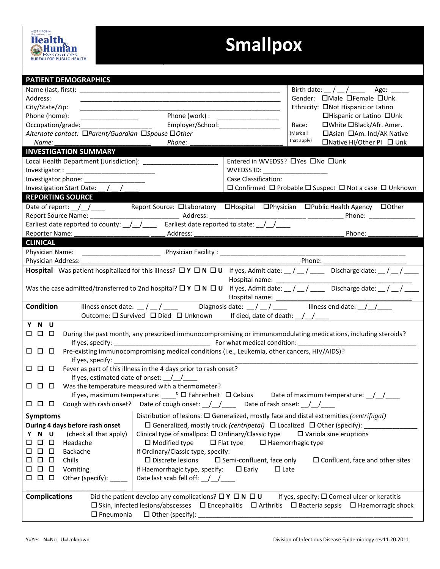## **Smallpox**

| <b>PATIENT DEMOGRAPHICS</b>                                                                                                                                                                                                                                                                               |                                                                                                                                                                     |                                                                                                 |  |  |  |
|-----------------------------------------------------------------------------------------------------------------------------------------------------------------------------------------------------------------------------------------------------------------------------------------------------------|---------------------------------------------------------------------------------------------------------------------------------------------------------------------|-------------------------------------------------------------------------------------------------|--|--|--|
|                                                                                                                                                                                                                                                                                                           | Birth date: $\frac{1}{2}$ / $\frac{1}{2}$ / $\frac{1}{2}$ Age: $\frac{1}{2}$                                                                                        |                                                                                                 |  |  |  |
| Address:                                                                                                                                                                                                                                                                                                  | Gender: <b>OMale OFemale OUnk</b><br><u> 1989 - John Stone, september 1989 - John Stone, september 1989 - John Stone, september 1989 - John Stone, sep</u>          |                                                                                                 |  |  |  |
| City/State/Zip:                                                                                                                                                                                                                                                                                           | Ethnicity: □Not Hispanic or Latino                                                                                                                                  |                                                                                                 |  |  |  |
| Phone (home):                                                                                                                                                                                                                                                                                             | Phone (work) :<br>□Hispanic or Latino □Unk<br><u> 1999 - Johann Barn, mars and de Branch Barn, mars and de Branch Barn, mars and de Branch Barn, mars and de Br</u> |                                                                                                 |  |  |  |
|                                                                                                                                                                                                                                                                                                           | Employer/School: 2000<br>□White □Black/Afr. Amer.<br>Race:                                                                                                          |                                                                                                 |  |  |  |
| Alternate contact: □Parent/Guardian □Spouse □Other                                                                                                                                                                                                                                                        | □Asian □Am. Ind/AK Native<br>(Mark all                                                                                                                              |                                                                                                 |  |  |  |
| Name:                                                                                                                                                                                                                                                                                                     | that apply)<br>□Native HI/Other PI □ Unk<br>Phone:                                                                                                                  |                                                                                                 |  |  |  |
| <b>INVESTIGATION SUMMARY</b>                                                                                                                                                                                                                                                                              |                                                                                                                                                                     |                                                                                                 |  |  |  |
|                                                                                                                                                                                                                                                                                                           | Entered in WVEDSS? OYes ONo OUnk                                                                                                                                    |                                                                                                 |  |  |  |
|                                                                                                                                                                                                                                                                                                           | WVEDSS ID: ____________________                                                                                                                                     |                                                                                                 |  |  |  |
| Investigator phone: ________________                                                                                                                                                                                                                                                                      | Case Classification:                                                                                                                                                |                                                                                                 |  |  |  |
| Investigation Start Date: _/ _/ _                                                                                                                                                                                                                                                                         |                                                                                                                                                                     | $\square$ Confirmed $\square$ Probable $\square$ Suspect $\square$ Not a case $\square$ Unknown |  |  |  |
| <b>REPORTING SOURCE</b>                                                                                                                                                                                                                                                                                   |                                                                                                                                                                     |                                                                                                 |  |  |  |
| Date of report: // _/ ___ Report Source: DLaboratory DHospital DPhysician DPublic Health Agency DOther                                                                                                                                                                                                    |                                                                                                                                                                     |                                                                                                 |  |  |  |
| Earliest date reported to county: \[\mumb] \] Earliest date reported to state: \[\mumb]                                                                                                                                                                                                                   |                                                                                                                                                                     |                                                                                                 |  |  |  |
| Reporter Name:                                                                                                                                                                                                                                                                                            | Phone:<br>Address:                                                                                                                                                  |                                                                                                 |  |  |  |
| <b>CLINICAL</b>                                                                                                                                                                                                                                                                                           |                                                                                                                                                                     |                                                                                                 |  |  |  |
|                                                                                                                                                                                                                                                                                                           |                                                                                                                                                                     |                                                                                                 |  |  |  |
|                                                                                                                                                                                                                                                                                                           |                                                                                                                                                                     |                                                                                                 |  |  |  |
|                                                                                                                                                                                                                                                                                                           |                                                                                                                                                                     |                                                                                                 |  |  |  |
| <b>Hospital</b> Was patient hospitalized for this illness? $\Box Y \Box N \Box U$ If yes, Admit date: $\Box / \Box / \Box$ Discharge date: $\Box / \Box / \Box$                                                                                                                                           |                                                                                                                                                                     |                                                                                                 |  |  |  |
| Was the case admitted/transferred to 2nd hospital? $\Box$ Y $\Box$ N $\Box$ U if yes, Admit date: __/ __/ ____ Discharge date: __/ __/ ____<br>Hospital name: _______________                                                                                                                             |                                                                                                                                                                     |                                                                                                 |  |  |  |
| Diagnosis date: $\frac{1}{2}$ / $\frac{1}{2}$ = 1llness end date: $\frac{1}{2}$ / $\frac{1}{2}$<br><b>Condition</b><br>Illness onset date: $\frac{\ }{\ }$ / $\frac{\ }{\ }$<br>Outcome: $\Box$ Survived $\Box$ Died $\Box$ Unknown If died, date of death: $\Box/\Box/\Box$                              |                                                                                                                                                                     |                                                                                                 |  |  |  |
| Y N U                                                                                                                                                                                                                                                                                                     |                                                                                                                                                                     |                                                                                                 |  |  |  |
| 000<br>During the past month, any prescribed immunocompromising or immunomodulating medications, including steroids?                                                                                                                                                                                      |                                                                                                                                                                     |                                                                                                 |  |  |  |
|                                                                                                                                                                                                                                                                                                           |                                                                                                                                                                     |                                                                                                 |  |  |  |
| Pre-existing immunocompromising medical conditions (i.e., Leukemia, other cancers, HIV/AIDS)?<br>000                                                                                                                                                                                                      |                                                                                                                                                                     |                                                                                                 |  |  |  |
| $\Box$ $\Box$ Fever as part of this illness in the 4 days prior to rash onset?                                                                                                                                                                                                                            |                                                                                                                                                                     |                                                                                                 |  |  |  |
| If yes, estimated date of onset: $\angle$                                                                                                                                                                                                                                                                 |                                                                                                                                                                     |                                                                                                 |  |  |  |
| $\Box$ $\Box$ Was the temperature measured with a thermometer?                                                                                                                                                                                                                                            |                                                                                                                                                                     |                                                                                                 |  |  |  |
| If yes, maximum temperature: $\circ$ $\Box$ Fahrenheit $\Box$ Celsius<br>Date of maximum temperature: $/$ /                                                                                                                                                                                               |                                                                                                                                                                     |                                                                                                 |  |  |  |
| $\Box$ $\Box$ $\Box$ Cough with rash onset? Date of cough onset: $\Box$ $\Box$ Date of rash onset: $\Box$ $\Box$                                                                                                                                                                                          |                                                                                                                                                                     |                                                                                                 |  |  |  |
| <b>Symptoms</b>                                                                                                                                                                                                                                                                                           | Distribution of lesions: $\square$ Generalized, mostly face and distal extremities (centrifugal)                                                                    |                                                                                                 |  |  |  |
| During 4 days before rash onset                                                                                                                                                                                                                                                                           | $\Box$ Generalized, mostly truck (centripetal) $\Box$ Localized $\Box$ Other (specify):                                                                             |                                                                                                 |  |  |  |
| N U<br>(check all that apply)<br>Y                                                                                                                                                                                                                                                                        | Clinical type of smallpox: $\Box$ Ordinary/Classic type<br>$\Box$ Variola sine eruptions                                                                            |                                                                                                 |  |  |  |
| $\Box$<br>$\Box$<br>Headache<br>$\Box$                                                                                                                                                                                                                                                                    | $\square$ Modified type<br>$\Box$ Flat type<br>$\Box$ Haemorrhagic type                                                                                             |                                                                                                 |  |  |  |
| $\Box$<br>$\Box$<br>Backache<br>□                                                                                                                                                                                                                                                                         | If Ordinary/Classic type, specify:                                                                                                                                  |                                                                                                 |  |  |  |
| $\Box$<br>$\Box$<br>Chills<br>□                                                                                                                                                                                                                                                                           | $\square$ Discrete lesions<br>$\square$ Semi-confluent, face only<br>$\square$ Confluent, face and other sites                                                      |                                                                                                 |  |  |  |
| $\Box$<br>$\Box$<br>Vomiting<br>0                                                                                                                                                                                                                                                                         | If Haemorrhagic type, specify: $\square$ Early<br>$\Box$ Late                                                                                                       |                                                                                                 |  |  |  |
| 000<br>Other (specify): ______                                                                                                                                                                                                                                                                            | Date last scab fell off: ///                                                                                                                                        |                                                                                                 |  |  |  |
| <b>Complications</b><br>Did the patient develop any complications? $\Box Y \Box N \Box U$<br>If yes, specify: $\square$ Corneal ulcer or keratitis<br>$\Box$ Skin, infected lesions/abscesses $\Box$ Encephalitis $\Box$ Arthritis $\Box$ Bacteria sepsis $\Box$ Haemorragic shock<br>$\square$ Pneumonia |                                                                                                                                                                     |                                                                                                 |  |  |  |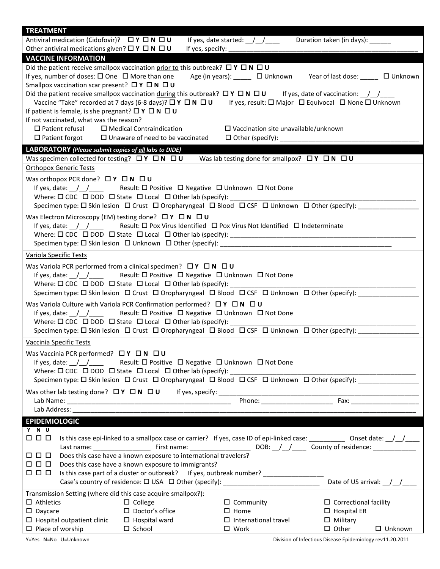| <b>TREATMENT</b>                                                                                                                              |                                                                                                                                                                                                               |                                                           |                                                                                                                                               |  |  |
|-----------------------------------------------------------------------------------------------------------------------------------------------|---------------------------------------------------------------------------------------------------------------------------------------------------------------------------------------------------------------|-----------------------------------------------------------|-----------------------------------------------------------------------------------------------------------------------------------------------|--|--|
| Antiviral medication (Cidofovir)? ロ Y ロ N ロ U                                                                                                 |                                                                                                                                                                                                               | If yes, date started: $\frac{1}{\sqrt{2}}$                | Duration taken (in days): ______                                                                                                              |  |  |
| Other antiviral medications given? $\Box Y \Box N \Box U$<br><b>VACCINE INFORMATION</b>                                                       | If yes, specify: _                                                                                                                                                                                            |                                                           |                                                                                                                                               |  |  |
|                                                                                                                                               | Did the patient receive smallpox vaccination prior to this outbreak? $\Box Y \Box N \Box U$                                                                                                                   |                                                           |                                                                                                                                               |  |  |
| If yes, number of doses: $\square$ One $\square$ More than one                                                                                |                                                                                                                                                                                                               |                                                           | Age (in years): □ Unknown Year of last dose: □ Unknown                                                                                        |  |  |
| Smallpox vaccination scar present? $\Box Y \Box N \Box U$                                                                                     |                                                                                                                                                                                                               |                                                           |                                                                                                                                               |  |  |
|                                                                                                                                               | Did the patient receive smallpox vaccination during this outbreak? $\Box Y \Box N \Box U$ If yes, date of vaccination: $\Box / \Box$                                                                          |                                                           |                                                                                                                                               |  |  |
|                                                                                                                                               |                                                                                                                                                                                                               |                                                           | Vaccine "Take" recorded at 7 days (6-8 days)? $\Box Y \Box N \Box U$ If yes, result: $\Box$ Major $\Box$ Equivocal $\Box$ None $\Box$ Unknown |  |  |
| If patient is female, is she pregnant? $\Box Y \Box N \Box U$                                                                                 |                                                                                                                                                                                                               |                                                           |                                                                                                                                               |  |  |
| If not vaccinated, what was the reason?<br>$\square$ Patient refusal                                                                          | $\Box$ Medical Contraindication                                                                                                                                                                               |                                                           |                                                                                                                                               |  |  |
| $\Box$ Patient forgot                                                                                                                         | $\Box$ Unaware of need to be vaccinated                                                                                                                                                                       | $\square$ Vaccination site unavailable/unknown            |                                                                                                                                               |  |  |
| LABORATORY (Please submit copies of all labs to DIDE)                                                                                         |                                                                                                                                                                                                               |                                                           |                                                                                                                                               |  |  |
| Was specimen collected for testing? $\Box Y \Box N \Box U$                                                                                    |                                                                                                                                                                                                               | Was lab testing done for smallpox? $\Box Y \Box N \Box U$ |                                                                                                                                               |  |  |
| <b>Orthopox Generic Tests</b>                                                                                                                 |                                                                                                                                                                                                               |                                                           |                                                                                                                                               |  |  |
| Was orthopox PCR done? $\Box Y \Box N \Box U$                                                                                                 |                                                                                                                                                                                                               |                                                           |                                                                                                                                               |  |  |
|                                                                                                                                               | If yes, date: $/ /$ Result: $\Box$ Positive $\Box$ Negative $\Box$ Unknown $\Box$ Not Done                                                                                                                    |                                                           |                                                                                                                                               |  |  |
|                                                                                                                                               |                                                                                                                                                                                                               |                                                           |                                                                                                                                               |  |  |
|                                                                                                                                               |                                                                                                                                                                                                               |                                                           |                                                                                                                                               |  |  |
| Was Electron Microscopy (EM) testing done? $\Box Y \Box N \Box U$                                                                             |                                                                                                                                                                                                               |                                                           |                                                                                                                                               |  |  |
|                                                                                                                                               | If yes, date: $\frac{1}{2}$ $\frac{1}{2}$ Result: $\Box$ Pox Virus Identified $\Box$ Pox Virus Not Identified $\Box$ Indeterminate                                                                            |                                                           |                                                                                                                                               |  |  |
|                                                                                                                                               |                                                                                                                                                                                                               |                                                           |                                                                                                                                               |  |  |
|                                                                                                                                               |                                                                                                                                                                                                               |                                                           |                                                                                                                                               |  |  |
| Variola Specific Tests                                                                                                                        |                                                                                                                                                                                                               |                                                           |                                                                                                                                               |  |  |
|                                                                                                                                               | Was Variola PCR performed from a clinical specimen? $\Box Y \Box N \Box U$                                                                                                                                    |                                                           |                                                                                                                                               |  |  |
|                                                                                                                                               | If yes, date: $\angle$ / _ / _ _ Result: $\Box$ Positive $\Box$ Negative $\Box$ Unknown $\Box$ Not Done                                                                                                       |                                                           |                                                                                                                                               |  |  |
|                                                                                                                                               | Where: $\Box$ CDC $\Box$ DOD $\Box$ State $\Box$ Local $\Box$ Other lab (specify):                                                                                                                            |                                                           | <u> 2001 - Jan James James James James James James James James James James James James James James James James J</u>                          |  |  |
|                                                                                                                                               |                                                                                                                                                                                                               |                                                           | Specimen type: □ Skin lesion □ Crust □ Oropharyngeal □ Blood □ CSF □ Unknown □ Other (specify):                                               |  |  |
|                                                                                                                                               | Was Variola Culture with Variola PCR Confirmation performed? $\square Y \square N \square U$                                                                                                                  |                                                           |                                                                                                                                               |  |  |
|                                                                                                                                               | If yes, date: $\angle$ / Result: $\Box$ Positive $\Box$ Negative $\Box$ Unknown $\Box$ Not Done<br>Where: $\square$ CDC $\square$ DOD $\square$ State $\square$ Local $\square$ Other lab (specify): ________ |                                                           |                                                                                                                                               |  |  |
|                                                                                                                                               | Specimen type: $\Box$ Skin lesion $\Box$ Crust $\Box$ Oropharyngeal $\Box$ Blood $\Box$ CSF $\Box$ Unknown $\Box$ Other (specify):                                                                            |                                                           |                                                                                                                                               |  |  |
| Vaccinia Specific Tests                                                                                                                       |                                                                                                                                                                                                               |                                                           |                                                                                                                                               |  |  |
|                                                                                                                                               |                                                                                                                                                                                                               |                                                           |                                                                                                                                               |  |  |
| Was Vaccinia PCR performed? $\Box Y \Box N \Box U$<br>If yes, date: $\angle$ / $\angle$                                                       |                                                                                                                                                                                                               |                                                           |                                                                                                                                               |  |  |
| Result: □ Positive □ Negative □ Unknown □ Not Done<br>Where: $\Box$ CDC $\Box$ DOD $\Box$ State $\Box$ Local $\Box$ Other lab (specify): ____ |                                                                                                                                                                                                               |                                                           |                                                                                                                                               |  |  |
|                                                                                                                                               |                                                                                                                                                                                                               |                                                           | Specimen type: □ Skin lesion □ Crust □ Oropharyngeal □ Blood □ CSF □ Unknown □ Other (specify): ______________                                |  |  |
|                                                                                                                                               |                                                                                                                                                                                                               |                                                           |                                                                                                                                               |  |  |
|                                                                                                                                               |                                                                                                                                                                                                               |                                                           |                                                                                                                                               |  |  |
|                                                                                                                                               |                                                                                                                                                                                                               |                                                           |                                                                                                                                               |  |  |
| <b>EPIDEMIOLOGIC</b>                                                                                                                          |                                                                                                                                                                                                               |                                                           |                                                                                                                                               |  |  |
| Y N U                                                                                                                                         |                                                                                                                                                                                                               |                                                           |                                                                                                                                               |  |  |
| $\Box$ $\Box$ $\Box$                                                                                                                          |                                                                                                                                                                                                               |                                                           | Is this case epi-linked to a smallpox case or carrier? If yes, case ID of epi-linked case: ______________ Onset date: $\frac{1}{2}$           |  |  |
|                                                                                                                                               |                                                                                                                                                                                                               |                                                           |                                                                                                                                               |  |  |
| Does this case have a known exposure to international travelers?<br>0 0 0<br>000<br>Does this case have a known exposure to immigrants?       |                                                                                                                                                                                                               |                                                           |                                                                                                                                               |  |  |
| 000                                                                                                                                           |                                                                                                                                                                                                               |                                                           |                                                                                                                                               |  |  |
|                                                                                                                                               |                                                                                                                                                                                                               |                                                           | Date of US arrival: $\_$ / $\_$                                                                                                               |  |  |
| Transmission Setting (where did this case acquire smallpox?):                                                                                 |                                                                                                                                                                                                               |                                                           |                                                                                                                                               |  |  |
| $\Box$ Athletics                                                                                                                              | $\Box$ College                                                                                                                                                                                                | $\Box$ Community                                          | $\Box$ Correctional facility                                                                                                                  |  |  |
| $\square$ Daycare                                                                                                                             | $\square$ Doctor's office                                                                                                                                                                                     | $\square$ Home                                            | $\Box$ Hospital ER                                                                                                                            |  |  |
| $\Box$ Hospital outpatient clinic                                                                                                             | $\Box$ Hospital ward                                                                                                                                                                                          | $\Box$ International travel                               | $\Box$ Military                                                                                                                               |  |  |
| $\Box$ Place of worship                                                                                                                       | $\Box$ School                                                                                                                                                                                                 | $\square$ Work                                            | $\Box$ Other<br>$\Box$ Unknown                                                                                                                |  |  |